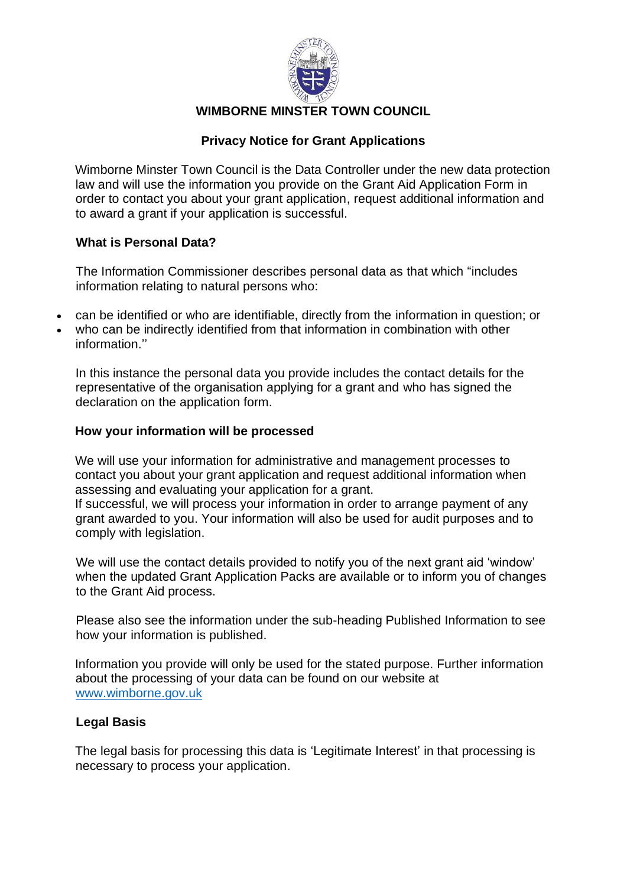

# **WIMBORNE MINSTER TOWN COUNCIL**

# **Privacy Notice for Grant Applications**

Wimborne Minster Town Council is the Data Controller under the new data protection law and will use the information you provide on the Grant Aid Application Form in order to contact you about your grant application, request additional information and to award a grant if your application is successful.

### **What is Personal Data?**

The Information Commissioner describes personal data as that which "includes information relating to natural persons who:

- can be identified or who are identifiable, directly from the information in question; or
- who can be indirectly identified from that information in combination with other information.''

In this instance the personal data you provide includes the contact details for the representative of the organisation applying for a grant and who has signed the declaration on the application form.

### **How your information will be processed**

We will use your information for administrative and management processes to contact you about your grant application and request additional information when assessing and evaluating your application for a grant.

If successful, we will process your information in order to arrange payment of any grant awarded to you. Your information will also be used for audit purposes and to comply with legislation.

We will use the contact details provided to notify you of the next grant aid 'window' when the updated Grant Application Packs are available or to inform you of changes to the Grant Aid process.

Please also see the information under the sub-heading Published Information to see how your information is published.

Information you provide will only be used for the stated purpose. Further information about the processing of your data can be found on our website at [www.wimborne.gov.uk](http://www.wimborne.gov.uk/)

## **Legal Basis**

The legal basis for processing this data is 'Legitimate Interest' in that processing is necessary to process your application.